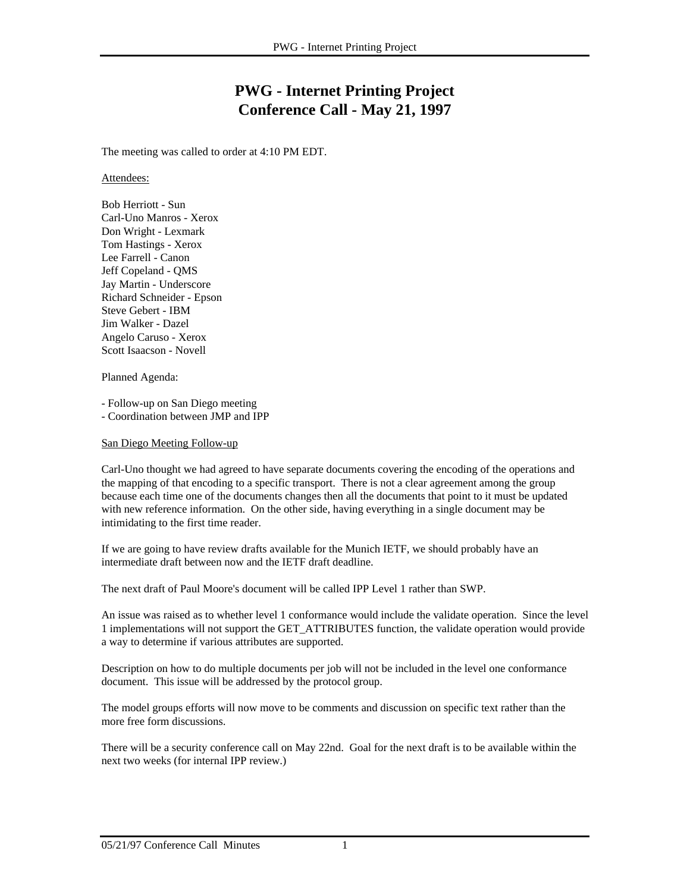## **PWG - Internet Printing Project Conference Call - May 21, 1997**

The meeting was called to order at 4:10 PM EDT.

Attendees:

Bob Herriott - Sun Carl-Uno Manros - Xerox Don Wright - Lexmark Tom Hastings - Xerox Lee Farrell - Canon Jeff Copeland - QMS Jay Martin - Underscore Richard Schneider - Epson Steve Gebert - IBM Jim Walker - Dazel Angelo Caruso - Xerox Scott Isaacson - Novell

Planned Agenda:

- Follow-up on San Diego meeting

- Coordination between JMP and IPP

San Diego Meeting Follow-up

Carl-Uno thought we had agreed to have separate documents covering the encoding of the operations and the mapping of that encoding to a specific transport. There is not a clear agreement among the group because each time one of the documents changes then all the documents that point to it must be updated with new reference information. On the other side, having everything in a single document may be intimidating to the first time reader.

If we are going to have review drafts available for the Munich IETF, we should probably have an intermediate draft between now and the IETF draft deadline.

The next draft of Paul Moore's document will be called IPP Level 1 rather than SWP.

An issue was raised as to whether level 1 conformance would include the validate operation. Since the level 1 implementations will not support the GET\_ATTRIBUTES function, the validate operation would provide a way to determine if various attributes are supported.

Description on how to do multiple documents per job will not be included in the level one conformance document. This issue will be addressed by the protocol group.

The model groups efforts will now move to be comments and discussion on specific text rather than the more free form discussions.

There will be a security conference call on May 22nd. Goal for the next draft is to be available within the next two weeks (for internal IPP review.)